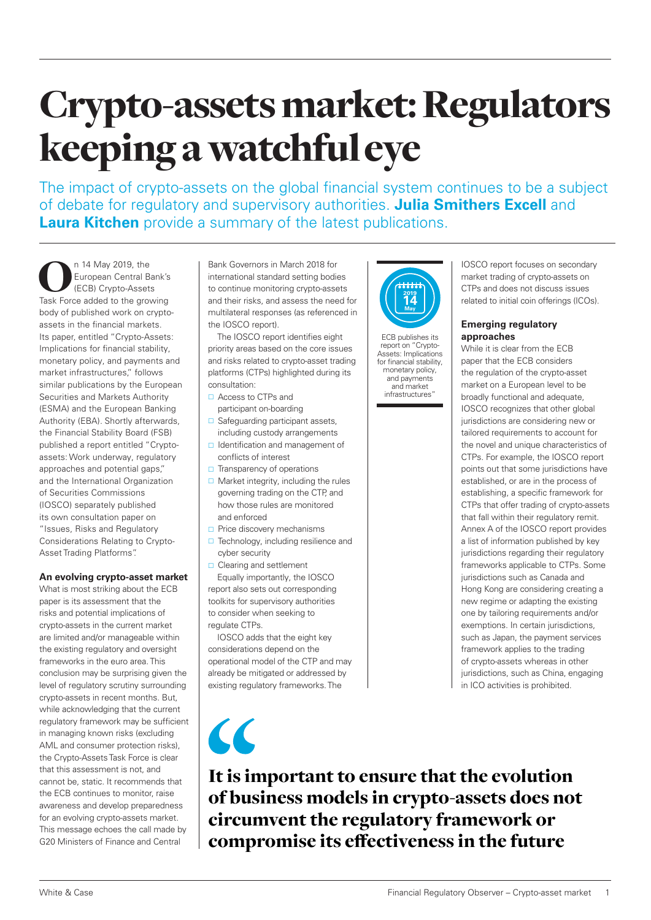# Crypto-assets market: Regulators keeping a watchful eye

The impact of crypto-assets on the global financial system continues to be a subject of debate for regulatory and supervisory authorities. **Julia Smithers Excell** and **Laura Kitchen** provide a summary of the latest publications.

n 14 May 2019, the<br>European Central Bank's<br>Task Force added to the growing European Central Bank's (ECB) Crypto-Assets body of published work on cryptoassets in the financial markets. Its paper, entitled "Crypto-Assets: Implications for financial stability, monetary policy, and payments and market infrastructures," follows similar publications by the European Securities and Markets Authority (ESMA) and the European Banking Authority (EBA). Shortly afterwards, the Financial Stability Board (FSB) published a report entitled "Cryptoassets: Work underway, regulatory approaches and potential gaps," and the International Organization of Securities Commissions (IOSCO) separately published its own consultation paper on "Issues, Risks and Regulatory Considerations Relating to Crypto-Asset Trading Platforms".

# **An evolving crypto-asset market**

What is most striking about the ECB paper is its assessment that the risks and potential implications of crypto-assets in the current market are limited and/or manageable within the existing regulatory and oversight frameworks in the euro area. This conclusion may be surprising given the level of regulatory scrutiny surrounding crypto-assets in recent months. But, while acknowledging that the current regulatory framework may be sufficient in managing known risks (excluding AML and consumer protection risks), the Crypto-Assets Task Force is clear that this assessment is not, and cannot be, static. It recommends that the ECB continues to monitor, raise awareness and develop preparedness for an evolving crypto-assets market. This message echoes the call made by G20 Ministers of Finance and Central

Bank Governors in March 2018 for international standard setting bodies to continue monitoring crypto-assets and their risks, and assess the need for multilateral responses (as referenced in the IOSCO report).

The IOSCO report identifies eight priority areas based on the core issues and risks related to crypto-asset trading platforms (CTPs) highlighted during its consultation:

- □ Access to CTPs and participant on-boarding
- □ Safeguarding participant assets, including custody arrangements
- $\Box$  Identification and management of conflicts of interest
- $\Box$  Transparency of operations
- $\Box$  Market integrity, including the rules governing trading on the CTP, and how those rules are monitored and enforced
- Price discovery mechanisms
- $\Box$  Technology, including resilience and cyber security
- □ Clearing and settlement Equally importantly, the IOSCO report also sets out corresponding toolkits for supervisory authorities to consider when seeking to regulate CTPs.

IOSCO adds that the eight key considerations depend on the operational model of the CTP and may already be mitigated or addressed by existing regulatory frameworks. The

 $\overline{\mathcal{C}}$ 



ECB publishes its report on "Crypto-Assets: Implications for financial stability, monetary policy, and payments and market infrastructures"

IOSCO report focuses on secondary market trading of crypto-assets on CTPs and does not discuss issues related to initial coin offerings (ICOs).

# **Emerging regulatory approaches**

While it is clear from the ECB paper that the ECB considers the regulation of the crypto-asset market on a European level to be broadly functional and adequate, IOSCO recognizes that other global jurisdictions are considering new or tailored requirements to account for the novel and unique characteristics of CTPs. For example, the IOSCO report points out that some jurisdictions have established, or are in the process of establishing, a specific framework for CTPs that offer trading of crypto-assets that fall within their regulatory remit. Annex A of the IOSCO report provides a list of information published by key jurisdictions regarding their regulatory frameworks applicable to CTPs. Some jurisdictions such as Canada and Hong Kong are considering creating a new regime or adapting the existing one by tailoring requirements and/or exemptions. In certain jurisdictions, such as Japan, the payment services framework applies to the trading of crypto-assets whereas in other jurisdictions, such as China, engaging in ICO activities is prohibited.

It is important to ensure that the evolution of business models in crypto-assets does not circumvent the regulatory framework or compromise its effectiveness in the future